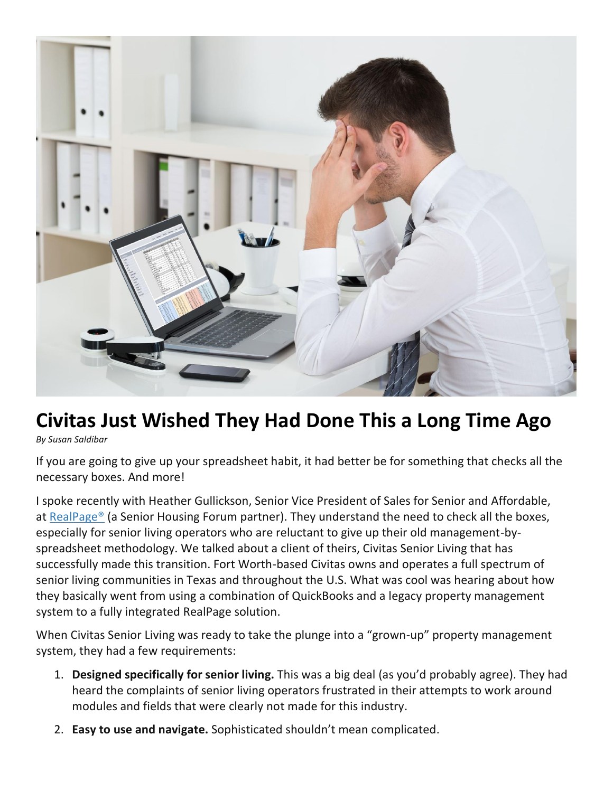

## **Civitas Just Wished They Had Done This a Long Time Ago**

*By Susan Saldibar*

If you are going to give up your spreadsheet habit, it had better be for something that checks all the necessary boxes. And more!

I spoke recently with Heather Gullickson, Senior Vice President of Sales for Senior and Affordable, at [RealPage®](https://www.realpage.com/assisted-living-software/) (a Senior Housing Forum partner). They understand the need to check all the boxes, especially for senior living operators who are reluctant to give up their old management-byspreadsheet methodology. We talked about a client of theirs, Civitas Senior Living that has successfully made this transition. Fort Worth-based Civitas owns and operates a full spectrum of senior living communities in Texas and throughout the U.S. What was cool was hearing about how they basically went from using a combination of QuickBooks and a legacy property management system to a fully integrated RealPage solution.

When Civitas Senior Living was ready to take the plunge into a "grown-up" property management system, they had a few requirements:

- 1. **Designed specifically for senior living.** This was a big deal (as you'd probably agree). They had heard the complaints of senior living operators frustrated in their attempts to work around modules and fields that were clearly not made for this industry.
- 2. **Easy to use and navigate.** Sophisticated shouldn't mean complicated.